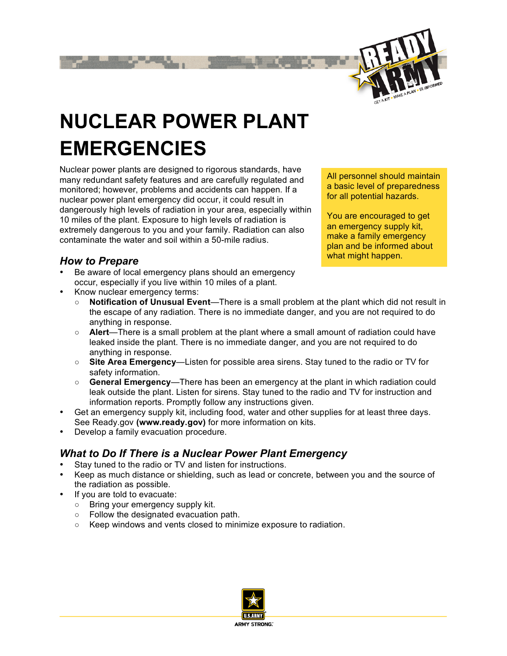

# **NUCLEAR POWER PLANT EMERGENCIES**

Nuclear power plants are designed to rigorous standards, have many redundant safety features and are carefully regulated and monitored; however, problems and accidents can happen. If a nuclear power plant emergency did occur, it could result in dangerously high levels of radiation in your area, especially within 10 miles of the plant. Exposure to high levels of radiation is extremely dangerous to you and your family. Radiation can also contaminate the water and soil within a 50-mile radius.

*How to Prepare*

Be aware of local emergency plans should an emergency occur, especially if you live within 10 miles of a plant.

All personnel should maintain a basic level of preparedness for all potential hazards.

You are encouraged to get an emergency supply kit, make a family emergency plan and be informed about what might happen.

- Know nuclear emergency terms:
	- **Notification of Unusual Event—There is a small problem at the plant which did not result in** the escape of any radiation. There is no immediate danger, and you are not required to do anything in response.
	- **Alert**—There is a small problem at the plant where a small amount of radiation could have leaked inside the plant. There is no immediate danger, and you are not required to do anything in response.
	- **Site Area Emergency**—Listen for possible area sirens. Stay tuned to the radio or TV for safety information.
	- **General Emergency**—There has been an emergency at the plant in which radiation could leak outside the plant. Listen for sirens. Stay tuned to the radio and TV for instruction and information reports. Promptly follow any instructions given.
- Get an emergency supply kit, including food, water and other supplies for at least three days. See Ready.gov **(www.ready.gov)** for more information on kits.
- Develop a family evacuation procedure.

## *What to Do If There is a Nuclear Power Plant Emergency*

- Stay tuned to the radio or TV and listen for instructions.
- Keep as much distance or shielding, such as lead or concrete, between you and the source of the radiation as possible.
- If you are told to evacuate:
	- Bring your emergency supply kit.
	- Follow the designated evacuation path.
	- Keep windows and vents closed to minimize exposure to radiation.